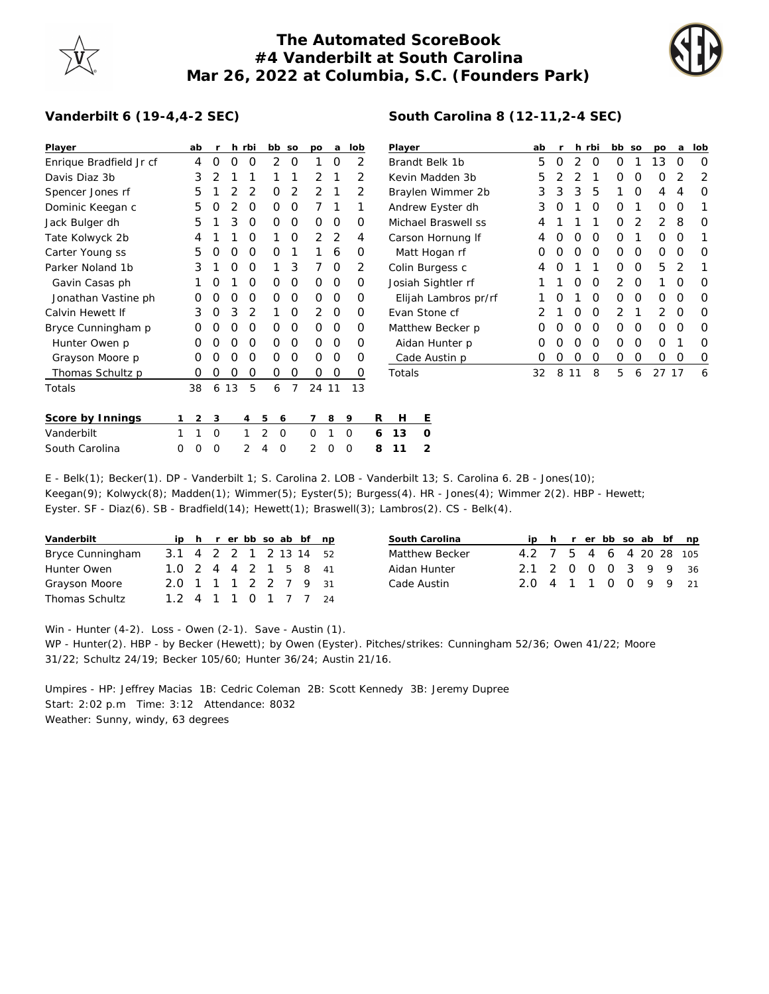## **The Automated ScoreBook #4 Vanderbilt at South Carolina Mar 26, 2022 at Columbia, S.C. (Founders Park)**



## **Vanderbilt 6 (19-4,4-2 SEC)**

| Player                  |   | ab |            | h        | rbi            | bb so            |   | po       | a        | lob           |   | Player            |   |                      |  | ab |   |    | h rbi    | bb | <b>SO</b> | po           | a        | lob      |
|-------------------------|---|----|------------|----------|----------------|------------------|---|----------|----------|---------------|---|-------------------|---|----------------------|--|----|---|----|----------|----|-----------|--------------|----------|----------|
| Enrique Bradfield Jr cf |   | 4  | $\Omega$   | $\Omega$ | 0              | 2                | 0 |          | $\Omega$ | 2             |   | Brandt Belk 1b    |   |                      |  | 5  | 0 | 2  | $\Omega$ | 0  |           | 13           | $\Omega$ | 0        |
| Davis Diaz 3b           |   | 3  |            |          |                |                  |   | 2        |          | 2             |   | Kevin Madden 3b   |   |                      |  | 5  |   |    |          | O  | O         | 0            | 2        | 2        |
| Spencer Jones rf        |   | 5  |            |          | 2              | O                | 2 | 2        |          |               |   | Braylen Wimmer 2b |   |                      |  | 3  | 3 | 3  | 5        |    | 0         | 4            | 4        | O        |
| Dominic Keegan c        |   | 5  |            |          | O              | 0                | 0 |          |          |               |   |                   |   | Andrew Eyster dh     |  | 3  | O |    | $\Omega$ | 0  | 1         | O            | O        |          |
| Jack Bulger dh          |   | 5  |            | 3        | O              | Ο                | 0 | $\Omega$ | $\Omega$ | Ο             |   |                   |   | Michael Braswell ss  |  | 4  |   |    |          | O  | 2         | 2            | 8        | O        |
| Tate Kolwyck 2b         |   | 4  |            |          | 0              |                  | 0 | 2        | 2        | 4             |   |                   |   | Carson Hornung If    |  | 4  | O | O  | 0        | 0  |           | 0            | O        |          |
| Carter Young ss         |   | 5  | $\left($ ) | O        | 0              | O                |   |          | 6        | O             |   |                   |   | Matt Hogan rf        |  | 0  | O | O  | $\Omega$ | 0  | 0         | 0            | O        | 0        |
| Parker Noland 1b        |   | 3  |            | O)       | O              |                  | 3 |          | $\Omega$ | 2             |   |                   |   | Colin Burgess c      |  | 4  |   |    |          | O  | O         | 5            | 2        |          |
| Gavin Casas ph          |   |    |            |          | Ο              | O                | 0 | $\Omega$ | 0        | O             |   |                   |   | Josiah Sightler rf   |  |    |   | O  | O        | 2  | O         |              | O        | O        |
| Jonathan Vastine ph     |   | O  | O          | O        | $\Omega$       | 0                | 0 | $\Omega$ | $\Omega$ | O             |   |                   |   | Elijah Lambros pr/rf |  |    | O |    | $\Omega$ | 0  | 0         | $\mathbf{O}$ | $\Omega$ | $\Omega$ |
| Calvin Hewett If        |   | 3  | $\Omega$   | 3        | 2              |                  | 0 | 2        | 0        | 0             |   | Evan Stone cf     |   |                      |  |    |   | O  | $\Omega$ | 2  |           | 2            | O        | 0        |
| Bryce Cunningham p      |   | O  | $\Omega$   | O        | O              | 0                | 0 | $\Omega$ | 0        | Ο             |   |                   |   | Matthew Becker p     |  | O  |   | O  | $\Omega$ | 0  | 0         | 0            | O        | $\Omega$ |
| Hunter Owen p           |   |    |            |          | O              | 0                | 0 | $\Omega$ | $\Omega$ | Ο             |   |                   |   | Aidan Hunter p       |  | O  |   |    | $\Omega$ | O  | O         | O            |          | O        |
| Grayson Moore p         |   | O  |            |          | O              | 0                | 0 | $\Omega$ | $\Omega$ | O             |   |                   |   | Cade Austin p        |  | O  | O | O  | $\Omega$ | 0  | 0         | 0            | O        | O        |
| Thomas Schultz p        |   | O  | O          | O        | O              | 0                | 0 | 0        | 0        | Ő             |   | Totals            |   |                      |  | 32 | 8 | 11 | 8        | 5  | 6         | 27 17        |          | 6        |
| Totals                  |   | 38 | 6          | 13       | 5              | 6                | 7 | 24 11    |          | 13            |   |                   |   |                      |  |    |   |    |          |    |           |              |          |          |
|                         |   |    |            |          |                |                  |   |          |          |               |   |                   |   |                      |  |    |   |    |          |    |           |              |          |          |
| Score by Innings        |   | 2  | 3          |          | $\overline{4}$ | 5<br>6           |   |          | 8        | 9             | R | Н                 | Ε |                      |  |    |   |    |          |    |           |              |          |          |
| Vanderbilt              |   |    | $\Omega$   |          |                | 2<br>$\mathbf 0$ |   | 0        |          | 0             | 6 | 13                | O |                      |  |    |   |    |          |    |           |              |          |          |
| South Carolina          | 0 | 0  | $\Omega$   |          | 2              | $\Omega$<br>4    |   | 2        | 0        | $\mathcal{O}$ | 8 | 11                | 2 |                      |  |    |   |    |          |    |           |              |          |          |

## E - Belk(1); Becker(1). DP - Vanderbilt 1; S. Carolina 2. LOB - Vanderbilt 13; S. Carolina 6. 2B - Jones(10); Keegan(9); Kolwyck(8); Madden(1); Wimmer(5); Eyster(5); Burgess(4). HR - Jones(4); Wimmer 2(2). HBP - Hewett; Eyster. SF - Diaz(6). SB - Bradfield(14); Hewett(1); Braswell(3); Lambros(2). CS - Belk(4).

| Vanderbilt       |                        |  |  |  | ip h r er bb so ab bf np |  |
|------------------|------------------------|--|--|--|--------------------------|--|
| Bryce Cunningham | 3.1 4 2 2 1 2 13 14 52 |  |  |  |                          |  |
| Hunter Owen      | 1.0 2 4 4 2 1 5 8 41   |  |  |  |                          |  |
| Grayson Moore    | 2.0 1 1 1 2 2 7 9 31   |  |  |  |                          |  |
| Thomas Schultz   | 1 2 4 1 1 0 1 7 7 24   |  |  |  |                          |  |

| South Carolina |                         |  |  |  | ip h r er bb so ab bf np |
|----------------|-------------------------|--|--|--|--------------------------|
| Matthew Becker | 4.2 7 5 4 6 4 20 28 105 |  |  |  |                          |
| Aidan Hunter   | 2.1 2 0 0 0 3 9 9 36    |  |  |  |                          |
| Cade Austin    | 20 4 1 1 0 0 9 9 21     |  |  |  |                          |
|                |                         |  |  |  |                          |

Win - Hunter (4-2). Loss - Owen (2-1). Save - Austin (1). WP - Hunter(2). HBP - by Becker (Hewett); by Owen (Eyster). Pitches/strikes: Cunningham 52/36; Owen 41/22; Moore 31/22; Schultz 24/19; Becker 105/60; Hunter 36/24; Austin 21/16.

Umpires - HP: Jeffrey Macias 1B: Cedric Coleman 2B: Scott Kennedy 3B: Jeremy Dupree Start: 2:02 p.m Time: 3:12 Attendance: 8032 Weather: Sunny, windy, 63 degrees

## **South Carolina 8 (12-11,2-4 SEC)**

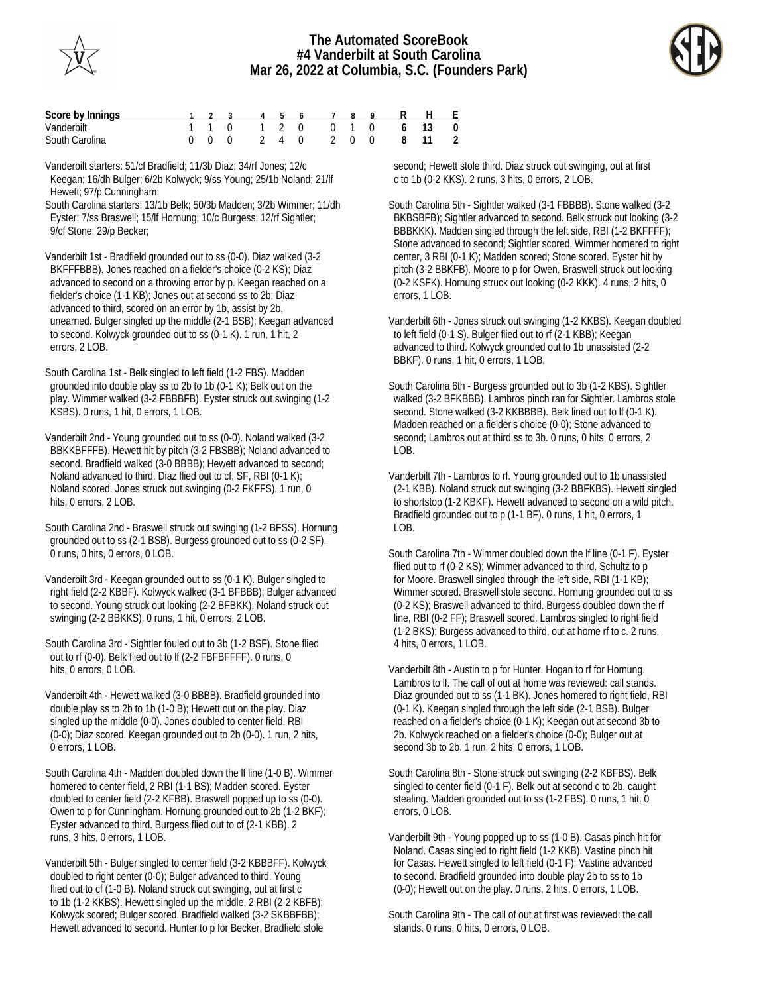



| Score by Innings |  |  |  |  | 1 2 3 4 5 6 7 8 9 R H E  |  |
|------------------|--|--|--|--|--------------------------|--|
| Vanderbilt       |  |  |  |  | 1 1 0 1 2 0 0 1 0 6 13 0 |  |
| South Carolina   |  |  |  |  | 0 0 0 2 4 0 2 0 0 8 11 2 |  |

Vanderbilt starters: 51/cf Bradfield; 11/3b Diaz; 34/rf Jones; 12/c Keegan; 16/dh Bulger; 6/2b Kolwyck; 9/ss Young; 25/1b Noland; 21/lf Hewett; 97/p Cunningham;

South Carolina starters: 13/1b Belk; 50/3b Madden; 3/2b Wimmer; 11/dh Eyster; 7/ss Braswell; 15/lf Hornung; 10/c Burgess; 12/rf Sightler; 9/cf Stone; 29/p Becker;

Vanderbilt 1st - Bradfield grounded out to ss (0-0). Diaz walked (3-2 BKFFFBBB). Jones reached on a fielder's choice (0-2 KS); Diaz advanced to second on a throwing error by p. Keegan reached on a fielder's choice (1-1 KB); Jones out at second ss to 2b; Diaz advanced to third, scored on an error by 1b, assist by 2b, unearned. Bulger singled up the middle (2-1 BSB); Keegan advanced to second. Kolwyck grounded out to ss (0-1 K). 1 run, 1 hit, 2 errors, 2 LOB.

South Carolina 1st - Belk singled to left field (1-2 FBS). Madden grounded into double play ss to 2b to 1b (0-1 K); Belk out on the play. Wimmer walked (3-2 FBBBFB). Eyster struck out swinging (1-2 KSBS). 0 runs, 1 hit, 0 errors, 1 LOB.

Vanderbilt 2nd - Young grounded out to ss (0-0). Noland walked (3-2 BBKKBFFFB). Hewett hit by pitch (3-2 FBSBB); Noland advanced to second. Bradfield walked (3-0 BBBB); Hewett advanced to second; Noland advanced to third. Diaz flied out to cf, SF, RBI (0-1 K); Noland scored. Jones struck out swinging (0-2 FKFFS). 1 run, 0 hits, 0 errors, 2 LOB.

South Carolina 2nd - Braswell struck out swinging (1-2 BFSS). Hornung grounded out to ss (2-1 BSB). Burgess grounded out to ss (0-2 SF). 0 runs, 0 hits, 0 errors, 0 LOB.

Vanderbilt 3rd - Keegan grounded out to ss (0-1 K). Bulger singled to right field (2-2 KBBF). Kolwyck walked (3-1 BFBBB); Bulger advanced to second. Young struck out looking (2-2 BFBKK). Noland struck out swinging (2-2 BBKKS). 0 runs, 1 hit, 0 errors, 2 LOB.

South Carolina 3rd - Sightler fouled out to 3b (1-2 BSF). Stone flied out to rf (0-0). Belk flied out to lf (2-2 FBFBFFFF). 0 runs, 0 hits, 0 errors, 0 LOB.

Vanderbilt 4th - Hewett walked (3-0 BBBB). Bradfield grounded into double play ss to 2b to 1b (1-0 B); Hewett out on the play. Diaz singled up the middle (0-0). Jones doubled to center field, RBI (0-0); Diaz scored. Keegan grounded out to 2b (0-0). 1 run, 2 hits, 0 errors, 1 LOB.

South Carolina 4th - Madden doubled down the lf line (1-0 B). Wimmer homered to center field, 2 RBI (1-1 BS); Madden scored. Eyster doubled to center field (2-2 KFBB). Braswell popped up to ss (0-0). Owen to p for Cunningham. Hornung grounded out to 2b (1-2 BKF); Eyster advanced to third. Burgess flied out to cf (2-1 KBB). 2 runs, 3 hits, 0 errors, 1 LOB.

Vanderbilt 5th - Bulger singled to center field (3-2 KBBBFF). Kolwyck doubled to right center (0-0); Bulger advanced to third. Young flied out to cf (1-0 B). Noland struck out swinging, out at first c to 1b (1-2 KKBS). Hewett singled up the middle, 2 RBI (2-2 KBFB); Kolwyck scored; Bulger scored. Bradfield walked (3-2 SKBBFBB); Hewett advanced to second. Hunter to p for Becker. Bradfield stole

 second; Hewett stole third. Diaz struck out swinging, out at first c to 1b (0-2 KKS). 2 runs, 3 hits, 0 errors, 2 LOB.

South Carolina 5th - Sightler walked (3-1 FBBBB). Stone walked (3-2 BKBSBFB); Sightler advanced to second. Belk struck out looking (3-2 BBBKKK). Madden singled through the left side, RBI (1-2 BKFFFF); Stone advanced to second; Sightler scored. Wimmer homered to right center, 3 RBI (0-1 K); Madden scored; Stone scored. Eyster hit by pitch (3-2 BBKFB). Moore to p for Owen. Braswell struck out looking (0-2 KSFK). Hornung struck out looking (0-2 KKK). 4 runs, 2 hits, 0 errors, 1 LOB.

Vanderbilt 6th - Jones struck out swinging (1-2 KKBS). Keegan doubled to left field (0-1 S). Bulger flied out to rf (2-1 KBB); Keegan advanced to third. Kolwyck grounded out to 1b unassisted (2-2 BBKF). 0 runs, 1 hit, 0 errors, 1 LOB.

South Carolina 6th - Burgess grounded out to 3b (1-2 KBS). Sightler walked (3-2 BFKBBB). Lambros pinch ran for Sightler. Lambros stole second. Stone walked (3-2 KKBBBB). Belk lined out to lf (0-1 K). Madden reached on a fielder's choice (0-0); Stone advanced to second; Lambros out at third ss to 3b. 0 runs, 0 hits, 0 errors, 2  $LOB$ .

Vanderbilt 7th - Lambros to rf. Young grounded out to 1b unassisted (2-1 KBB). Noland struck out swinging (3-2 BBFKBS). Hewett singled to shortstop (1-2 KBKF). Hewett advanced to second on a wild pitch. Bradfield grounded out to p (1-1 BF). 0 runs, 1 hit, 0 errors, 1  $LOB$ 

South Carolina 7th - Wimmer doubled down the lf line (0-1 F). Eyster flied out to rf (0-2 KS); Wimmer advanced to third. Schultz to p for Moore. Braswell singled through the left side, RBI (1-1 KB); Wimmer scored. Braswell stole second. Hornung grounded out to ss (0-2 KS); Braswell advanced to third. Burgess doubled down the rf line, RBI (0-2 FF); Braswell scored. Lambros singled to right field (1-2 BKS); Burgess advanced to third, out at home rf to c. 2 runs, 4 hits, 0 errors, 1 LOB.

Vanderbilt 8th - Austin to p for Hunter. Hogan to rf for Hornung. Lambros to lf. The call of out at home was reviewed: call stands. Diaz grounded out to ss (1-1 BK). Jones homered to right field, RBI (0-1 K). Keegan singled through the left side (2-1 BSB). Bulger reached on a fielder's choice (0-1 K); Keegan out at second 3b to 2b. Kolwyck reached on a fielder's choice (0-0); Bulger out at second 3b to 2b. 1 run, 2 hits, 0 errors, 1 LOB.

South Carolina 8th - Stone struck out swinging (2-2 KBFBS). Belk singled to center field (0-1 F). Belk out at second c to 2b, caught stealing. Madden grounded out to ss (1-2 FBS). 0 runs, 1 hit, 0 errors, 0 LOB.

Vanderbilt 9th - Young popped up to ss (1-0 B). Casas pinch hit for Noland. Casas singled to right field (1-2 KKB). Vastine pinch hit for Casas. Hewett singled to left field (0-1 F); Vastine advanced to second. Bradfield grounded into double play 2b to ss to 1b (0-0); Hewett out on the play. 0 runs, 2 hits, 0 errors, 1 LOB.

South Carolina 9th - The call of out at first was reviewed: the call stands. 0 runs, 0 hits, 0 errors, 0 LOB.